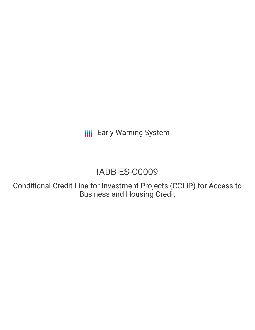**III** Early Warning System

# IADB-ES-O0009

Conditional Credit Line for Investment Projects (CCLIP) for Access to Business and Housing Credit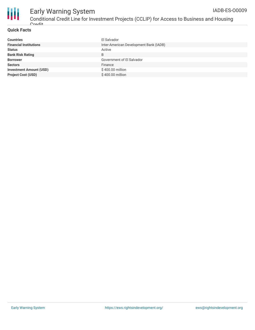

#### **Quick Facts**

**Crodit** 

| <b>Countries</b>               | El Salvador                            |
|--------------------------------|----------------------------------------|
| <b>Financial Institutions</b>  | Inter-American Development Bank (IADB) |
| <b>Status</b>                  | Active                                 |
| <b>Bank Risk Rating</b>        | B                                      |
| <b>Borrower</b>                | Government of El Salvador              |
| <b>Sectors</b>                 | Finance                                |
| <b>Investment Amount (USD)</b> | \$400.00 million                       |
| <b>Project Cost (USD)</b>      | \$400.00 million                       |
|                                |                                        |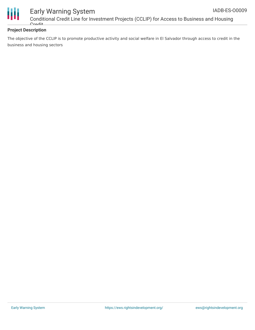



## Early Warning System

Conditional Credit Line for Investment Projects (CCLIP) for Access to Business and Housing **Cradit** 

### **Project Description**

The objective of the CCLIP is to promote productive activity and social welfare in El Salvador through access to credit in the business and housing sectors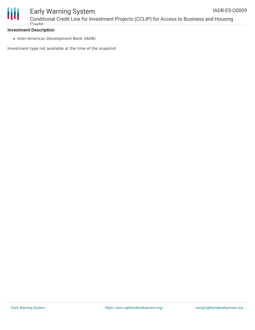

## **Investment Description**

• Inter-American Development Bank (IADB)

Investment type not available at the time of the snapshot